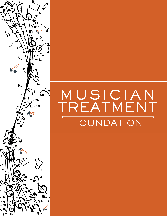

# MUSICIAN<br>TREATMENT FOUNDATION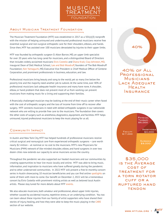

# About Musician Treatment Foundation

The Musician Treatment Foundation (MTF) was established in 2017 as a 501(c)(3) nonprofit with the mission of helping uninsured and underinsured professional musicians receive free essential surgical and non-surgical orthopedic care for their shoulders, elbows, and hands. Since then, MTF has assisted over 100 musicians devastated by injuries to their upper limbs.

MTF was founded by orthopedic surgeon O. Alton Barron, MD, an upper limb specialist for over 20 years who has long cared for musicians, and a distinguished Board of Directors that includes widely acclaimed musicians [Elvis Costello](https://www.elviscostello.com/) and [Diana Krall](http://www.dianakrall.com/); [Clay Johnston, MD](https://dellmed.utexas.edu/directory/clay-johnston), inaugural Dean of Dell Medical School; [Lee and Bob Woodruff,](https://bobwoodrufffoundation.org/meet-the-team/#board) founders of The Bob Woodruff Foundation; [Ken Yamaguchi,](https://www.centene.com/who-we-are/our-purpose.html) MD, Executive Vice President & Chief Medical Officer of Centene Corporation, and prominent professionals in business, education, and law.

Professional musicians bring beauty and song to the world, yet so many live below the poverty line and the majority need another job to subsist. At the same time, over 40% of professional musicians lack adequate health insurance and many have none. A shoulder, elbow, or hand problem that does not prevent most of us from working can prevent musicians from making music for a living and supporting their families.

A financially challenged musician may be looking at the end of their music career when faced with the cost of orthopedic surgery and the loss of income from time off to recover after surgery. MTF connects musicians in need with skilled orthopedic surgeons in our nationwide network who are willing to provide free care to the musicians. The foundation then covers the other costs of surgery such as anesthesia, diagnostics, equipment, and facilities. MTF helps uninsured, injured professional musicians to keep the music playing for us all.

#### Community Impact

In Austin and New York City, MTF has helped hundreds of professional musicians receive critical surgical and nonsurgical care from experienced orthopedic surgeons – care worth nearly \$2 million – at nominal or no cost to the musicians. MTF's new Physicians for Musicians (P4M) network of like-minded shoulder, elbow, and hand surgeons in over two dozen cities now extends our capacity to serve musicians across the country.

Throughout the pandemic we also supported our healed musicians and our communities by creating opportunities to hear live music locally and online. MTF was able to bring music, information, and inspiration to musicians who have suffered greatly during the pandemic and to other underserved communities. In 2022 MTF will present a free bi-monthly concert series in Austin showcasing 10 musician beneficiaries and you can find online [spotlights](https://mtfusa.org/musician-spotlights/) on some of them with more to come. Our benefit on December 2, 2022 will be a tremendous concert by Elvis Costello with prominent visiting artists as well as beloved local Austin artists. Please stay tuned for more details about MTF [events.](http://mtfusa.org/events)

We also educate musicians, both amateur and professional, about upper limb injuries, whether caused by accidental trauma, repetitive stress, or an underlying condition. You too can learn about these injuries from our family of artist supporters who have shared their stories of injury, healing, and how they were able to keep the music playing in the [CARE](https://mtfusa.org/care/) section of our website.

40% of All **PROFESSIONAL MUSICIANS** LACK ADEQUATE **HEALTH INSURANCE** 

40%



\$35,000 is the Average cost of treatment for a torn rotator cuff or a ruptured hand **TENDON**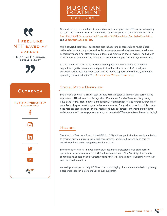

—Nicolas Dominguez double bassist



# **OUTREACH** musician treatment foundation  $|\mathbf{O}|$ in

 $\blacktriangleright$  .

AMTF

Our goals are clear, our values strong, and our outcomes powerful. MTF works strategically to assist and reach musicians in tandem with other nonprofits in the music world, such as [Black Fret,](https://www.blackfret.org/) [HAAM,](https://www.myhaam.org/) [Preservation Hall Foundation](https://www.preshallfoundation.org/), [SIMS Foundation](https://simsfoundation.org/), [Sun Radio Foundation,](https://sunradiofoundation.org/) and [Underwater Sunshine Fest.](https://underwatersunshinefest.com/)

MTF's powerful coalition of supporters also includes major corporations, music labels, orthopedic implant companies, and well-known musicians who believe in our mission and generously support our efforts through donations, grants, and special events. The final and most important member of our coalition is anyone who appreciates music, including you!

We are all beneficiaries of the universal healing power of music. Music of all genres engenders cognitive, emotional, and physical wellness for the world. We need your donations, large and small, your corporate and in-kind support, and we need your help in spreading the word about MTF to #KEEPTHEMUSICPLAYING!

# Social Media Overview

MUSICIAN TREATMENT

**FOUNDATION** 

Social media serves as a critical tool to share MTF's mission with musicians, partners, and supporters. MTF relies on its distinguished 15-member Board of Directors, its growing Physicians for Musicians network, and its family of artist supporters to further awareness of our mission, inspire donations, and enhance our events. Our goal is to reach musicians who need MTF assistance and our overall reach continues to increase, enhancing our ability to assist more musicians, engage supporters, and promote MTF events to keep the music playing!

#### **MISSION**

The Musician Treatment Foundation (MTF) is a 501(c)(3) nonprofit that has a unique mission to assist in providing free surgical and non-surgical shoulder, elbow, and hand care for underinsured and uninsured professional musicians.

Since inception MTF has helped financially challenged professional musicians receive specialized surgical care valued at \$1.7 million in Austin and New York City alone, and is expanding its education and outreach efforts for MTF's Physicians for Musicians network in another two dozen cities.

We seek your support to help MTF keep the music playing. Please join our mission by being a corporate sponsor, major donor, or annual supporter!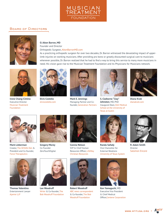

#### BOARD OF DIRECTORS

Diana Krall Elvis Costello

and the musicians we've helped, and continue our efforts to keep the music playing!



#### **O. Alton Barron, MD**

Founder and Director **Example 2008 Controller Controller Surgeon, [AltonBarronMD.com](http://AltonBarronMD.com)**  $\mathbf{F}$  care to music and  $\mathbf{D}$  realized that  $\mathbf{D}$  is serviced that  $\mathbf{D}$  is serviced to bring the service service service service service service service service service service service service service service

influential companies and organizations, our overall reach will continue to increase, enhancing our ability to spread the word about MTF

As a practicing orthopedic surgeon for over two decades, Dr. Barron witnessed the devastating impact of upperlimb injuries on working musicians. After providing pro bono or greatly discounted surgical care to musicians whenever possible, Dr. Barron realized that he had to find a way to bring this service to many more musicians in need. His vision gave rise to the Musician Treatment Foundation and its Physicians for Musicians network.



Irene Chang-Cimino Executive Director [Musician Treatment](http://mtfusa.org)  [Foundation](http://mtfusa.org)



**Elvis Costello** [elviscostello.com](http://elviscostello.com)



**Mark E. Jennings** Managing Partner and Cofounder, Generation Partners



Musician Treatment **is grateful for all the support we've receive** founder, Generation Partners haugural Dean, Dell Medical orthopedic surgeon will be the surgeon will music surgeon will music the fee in treating on conversity of the fee in treating all or nearly all or nearly all of the fees for the fees for the feed for the fees for the fees **S. Claiborne "Clay" Johnston**, MD, PhD [School at the University of](http://Dell Medical School at the University of Texas at Austin)  [Texas at Austin](http://Dell Medical School at the University of Texas at Austin)



**Diana Krall** [dianakrall.com](http://www.dianakrall.com/)



 $\pi$  and  $\sigma$  below President and Co-founder, ZeroTouchDigital Resources Officer, LifeWay External Relations Salomon Encore r **anne Beeman**<br>Creator, The [Artists](https://artistsden.com) Den & [Force Therapeutics](https://www.forcetherapeutics.com) **Mark Lieberman Gregor** 



**Gregory Morey** Co-Founder ZeroTouchDigital



SVP & Chief Human Resources Officer, LifeWay Founder of The Counsel, [Christian Resources](https://www.lifeway.com) **Connia Nelson**



External Relations [University of Texas System](https://www.utsystem.edu/offices/external-relations-communications-and-advancement-services/vice-chancellor) Vice Chancellor for **Randa Safady**



**R. Adam Smith** Director [Salomon Encore](https://salomonencore.com)



**Thomas Valentino** Entertainment Lawyer [Ajamie LLP](https://www.ajamie.com/the-firm/)



**Lee Woodruff** [Writer](https://leewoodruff.com) & Co-founder, [The](https://bobwoodrufffoundation.org)  [Bob Woodruff Foundation](https://bobwoodrufffoundation.org)



**Robert Woodruff** [ABC news correspondent](https://abcnews.go.com/WNT/bob-woodruff-official-biography/story?id=127761) & Co-founder, [The Bob](https://bobwoodrufffoundation.org)  [Woodruff Foundation](https://bobwoodrufffoundation.org)



**Ken Yamaguchi**, MD Executive Vice President & Chief Medical Officer,[Centene Corporation](https://www.centene.com)